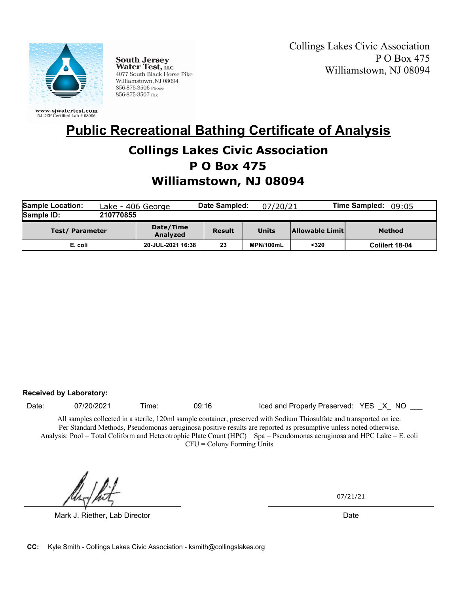

**South Jersey<br>Water Test, LLC** 4077 South Black Horse Pike Williamstown, NJ 08094 856-875-3506 Phone 856-875-3507 Fax

Collings Lakes Civic Association P O Box 475 Williamstown, NJ 08094

# **Collings Lakes Civic Association Public Recreational Bathing Certificate of Analysis**

### **P O Box 475**

## **Williamstown, NJ 08094**

| <b>Sample Location:</b><br>Lake - 406 George |           |                       | Date Sampled: | 07/20/21  |                        | <b>Time Sampled:</b><br>09:05 |
|----------------------------------------------|-----------|-----------------------|---------------|-----------|------------------------|-------------------------------|
| Sample ID:                                   | 210770855 |                       |               |           |                        |                               |
| <b>Test/Parameter</b>                        |           | Date/Time<br>Analyzed | <b>Result</b> | Units     | <b>Allowable Limit</b> | Method                        |
| E. coli                                      |           | 20-JUL-2021 16:38     | 23            | MPN/100mL | $320$                  | Colilert 18-04                |

#### **Received by Laboratory:**

Date: 07/20/2021 Time: 09:16 Iced and Properly Preserved: YES X NO \_\_\_

All samples collected in a sterile, 120ml sample container, preserved with Sodium Thiosulfate and transported on ice. Per Standard Methods, Pseudomonas aeruginosa positive results are reported as presumptive unless noted otherwise. Analysis: Pool = Total Coliform and Heterotrophic Plate Count (HPC) Spa = Pseudomonas aeruginosa and HPC Lake = E. coli CFU = Colony Forming Units

Mark J. Riether, Lab Director **Date Accord Accord Provident Control** Date Date Date

07/21/21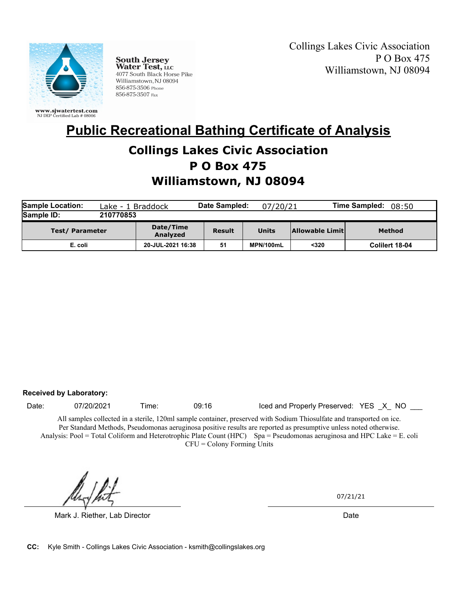

**South Jersey<br>Water Test, LLC** 4077 South Black Horse Pike Williamstown, NJ 08094 856-875-3506 Phone 856-875-3507 Fax

Collings Lakes Civic Association P O Box 475 Williamstown, NJ 08094

# **Collings Lakes Civic Association Public Recreational Bathing Certificate of Analysis**

### **P O Box 475**

## **Williamstown, NJ 08094**

| <b>Sample Location:</b> | Lake - 1 Braddock |                       | Date Sampled: | 07/20/21  |                 | <b>Time Sampled:</b><br>08:50 |  |
|-------------------------|-------------------|-----------------------|---------------|-----------|-----------------|-------------------------------|--|
| Sample ID:              | 210770853         |                       |               |           |                 |                               |  |
| <b>Test/Parameter</b>   |                   | Date/Time<br>Analyzed | Result        | Units     | Allowable Limit | Method                        |  |
| E. coli                 |                   | 20-JUL-2021 16:38     | 51            | MPN/100mL | $320$           | Colilert 18-04                |  |

#### **Received by Laboratory:**

Date: 07/20/2021 Time: 09:16 Iced and Properly Preserved: YES X NO \_\_\_

All samples collected in a sterile, 120ml sample container, preserved with Sodium Thiosulfate and transported on ice. Per Standard Methods, Pseudomonas aeruginosa positive results are reported as presumptive unless noted otherwise. Analysis: Pool = Total Coliform and Heterotrophic Plate Count (HPC) Spa = Pseudomonas aeruginosa and HPC Lake = E. coli CFU = Colony Forming Units

Mark J. Riether, Lab Director **Date Accord Accord Provident Control** Date Date Date

07/21/21